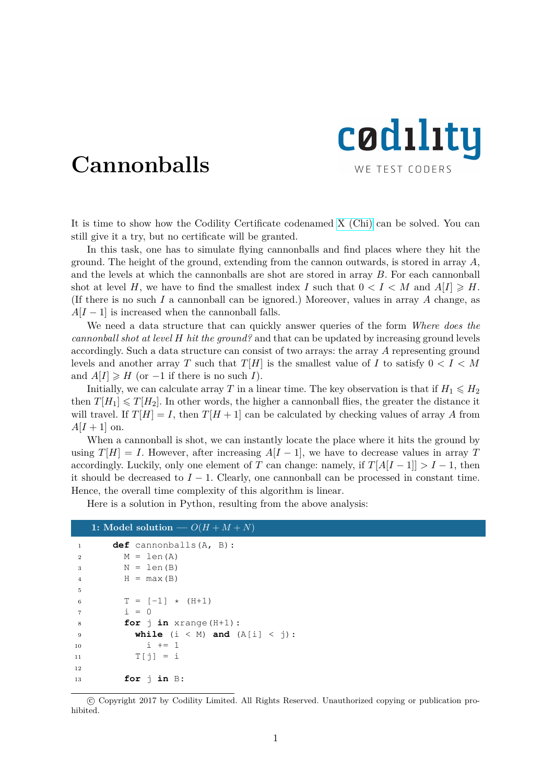

## **Cannonballs**

It is time to show how the Codility Certificate codenamed [X \(Chi\)](http://codility.com/demo/take-sample-test/chi2012) can be solved. You can still give it a try, but no certificate will be granted.

In this task, one has to simulate flying cannonballs and find places where they hit the ground. The height of the ground, extending from the cannon outwards, is stored in array *A*, and the levels at which the cannonballs are shot are stored in array *B*. For each cannonball shot at level *H*, we have to find the smallest index *I* such that  $0 < I < M$  and  $A[I] \ge H$ . (If there is no such *I* a cannonball can be ignored.) Moreover, values in array *A* change, as  $A[I-1]$  is increased when the cannonball falls.

We need a data structure that can quickly answer queries of the form *Where does the cannonball shot at level H hit the ground?* and that can be updated by increasing ground levels accordingly. Such a data structure can consist of two arrays: the array *A* representing ground levels and another array *T* such that  $T[H]$  is the smallest value of *I* to satisfy  $0 < I < M$ and  $A[I] \geq H$  (or  $-1$  if there is no such *I*).

Initially, we can calculate array *T* in a linear time. The key observation is that if  $H_1 \leq H_2$ then  $T[H_1] \leq T[H_2]$ . In other words, the higher a cannonball flies, the greater the distance it will travel. If  $T[H] = I$ , then  $T[H + 1]$  can be calculated by checking values of array A from  $A[I + 1]$  on.

When a cannonball is shot, we can instantly locate the place where it hits the ground by using  $T[H] = I$ . However, after increasing  $A[I-1]$ , we have to decrease values in array *T* accordingly. Luckily, only one element of *T* can change: namely, if  $T[A[I-1]] > I-1$ , then it should be decreased to  $I - 1$ . Clearly, one cannonball can be processed in constant time. Hence, the overall time complexity of this algorithm is linear.

Here is a solution in Python, resulting from the above analysis:

## **1:** Model solution —  $O(H + M + N)$

| $\mathbf{1}$   | $def$ cannonballs $(A, B)$ :           |
|----------------|----------------------------------------|
| $\overline{2}$ | $M = len(A)$                           |
| 3              | $N = len(B)$                           |
| $\overline{4}$ | $H = max(B)$                           |
| 5              |                                        |
| 6              | $T = [-1] \times (H+1)$                |
| $\overline{7}$ | $i = 0$                                |
| 8              | for $\pi$ in xrange (H+1):             |
| 9              | while $(i \lt M)$ and $(A[i] \lt j)$ : |
| 10             | $i + = 1$                              |
| 11             | $T[i] = i$                             |
| 12             |                                        |
| 13             | for $\vdash$ in B:                     |

 c Copyright 2017 by Codility Limited. All Rights Reserved. Unauthorized copying or publication prohibited.